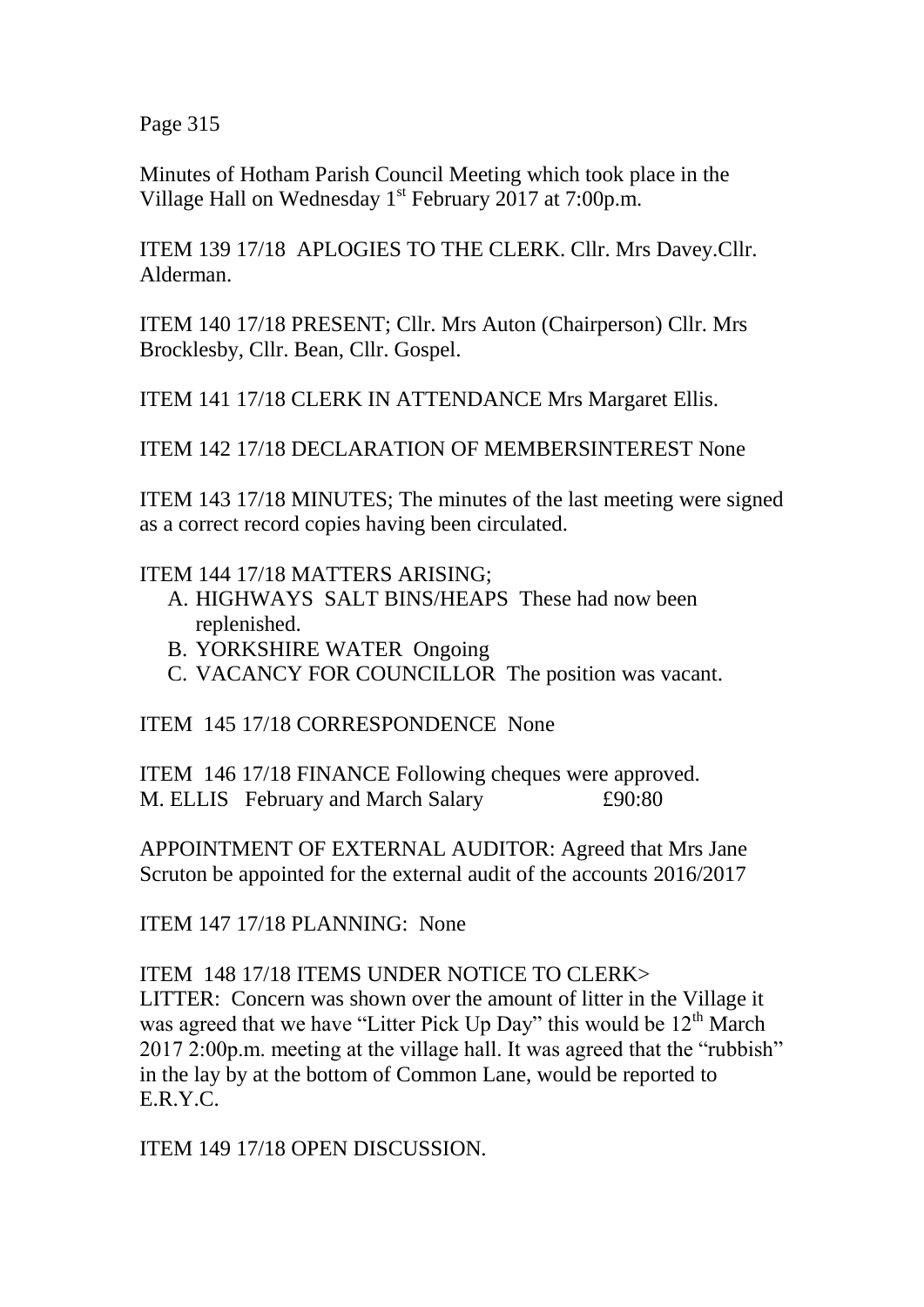Page 315

Minutes of Hotham Parish Council Meeting which took place in the Village Hall on Wednesday 1<sup>st</sup> February 2017 at 7:00p.m.

ITEM 139 17/18 APLOGIES TO THE CLERK. Cllr. Mrs Davey.Cllr. Alderman.

ITEM 140 17/18 PRESENT; Cllr. Mrs Auton (Chairperson) Cllr. Mrs Brocklesby, Cllr. Bean, Cllr. Gospel.

ITEM 141 17/18 CLERK IN ATTENDANCE Mrs Margaret Ellis.

ITEM 142 17/18 DECLARATION OF MEMBERSINTEREST None

ITEM 143 17/18 MINUTES; The minutes of the last meeting were signed as a correct record copies having been circulated.

## ITEM 144 17/18 MATTERS ARISING;

- A. HIGHWAYS SALT BINS/HEAPS These had now been replenished.
- B. YORKSHIRE WATER Ongoing
- C. VACANCY FOR COUNCILLOR The position was vacant.

ITEM 145 17/18 CORRESPONDENCE None

ITEM 146 17/18 FINANCE Following cheques were approved. M. ELLIS February and March Salary  $£90:80$ 

APPOINTMENT OF EXTERNAL AUDITOR: Agreed that Mrs Jane Scruton be appointed for the external audit of the accounts 2016/2017

ITEM 147 17/18 PLANNING: None

ITEM 148 17/18 ITEMS UNDER NOTICE TO CLERK>

LITTER: Concern was shown over the amount of litter in the Village it was agreed that we have "Litter Pick Up Day" this would be  $12<sup>th</sup>$  March 2017 2:00p.m. meeting at the village hall. It was agreed that the "rubbish" in the lay by at the bottom of Common Lane, would be reported to E.R.Y.C.

ITEM 149 17/18 OPEN DISCUSSION.